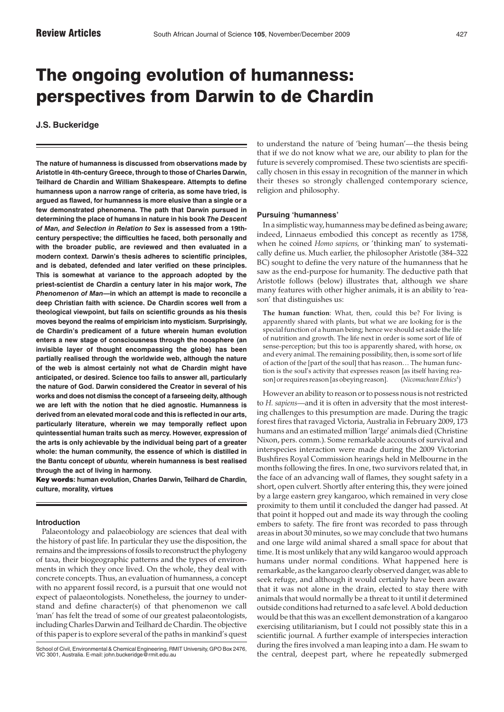# The ongoing evolution of humanness: perspectives from Darwin to de Chardin

**J.S. Buckeridge**

**The nature of humanness is discussed from observations made by Aristotle in 4th-century Greece, through to those of Charles Darwin, Teilhard de Chardin and William Shakespeare. Attempts to define humanness upon a narrow range of criteria, as some have tried, is argued as flawed, for humanness is more elusive than a single or a few demonstrated phenomena. The path that Darwin pursued in determining the place of humans in nature in his book** *The Descent of Man, and Selection in Relation to Sex* **is assessed from a 19thcentury perspective; the difficulties he faced, both personally and with the broader public, are reviewed and then evaluated in a modern context. Darwin's thesis adheres to scientific principles, and is debated, defended and later verified on these principles. This is somewhat at variance to the approach adopted by the priest-scientist de Chardin a century later in his major work,** *The Phenomenon of Man***—in which an attempt is made to reconcile a deep Christian faith with science. De Chardin scores well from a theological viewpoint, but fails on scientific grounds as his thesis moves beyond the realms of empiricism into mysticism. Surprisingly, de Chardin's predicament of a future wherein human evolution enters a new stage of consciousness through the noosphere (an invisible layer of thought encompassing the globe) has been partially realised through the worldwide web, although the nature of the web is almost certainly not what de Chardin might have anticipated, or desired. Science too fails to answer all, particularly the nature of God. Darwin considered the Creator in several of his works and does not dismiss the concept of a farseeing deity, although we are left with the notion that he died agnostic. Humanness is derived from an elevated moral code and this is reflected in our arts, particularly literature, wherein we may temporally reflect upon quintessential human traits such as mercy. However, expression of the arts is only achievable by the individual being part of a greater whole: the human community, the essence of which is distilled in the Bantu concept of** *ubuntu,* **wherein humanness is best realised through the act of living in harmony.**

Key words**: human evolution, Charles Darwin, Teilhard de Chardin, culture, morality, virtues**

# **Introduction**

Palaeontology and palaeobiology are sciences that deal with the history of past life. In particular they use the disposition, the remains and the impressions of fossils to reconstruct the phylogeny of taxa, their biogeographic patterns and the types of environments in which they once lived. On the whole, they deal with concrete concepts. Thus, an evaluation of humanness, a concept with no apparent fossil record, is a pursuit that one would not expect of palaeontologists. Nonetheless, the journey to understand and define character(s) of that phenomenon we call 'man' has felt the tread of some of our greatest palaeontologists, including Charles Darwin and Teilhard de Chardin. The objective of this paper is to explore several of the paths in mankind's quest

School of Civil, Environmental & Chemical Engineering, RMIT University, GPO Box 2476, VIC 3001, Australia. E-mail: john.buckeridge@rmit.edu.au

to understand the nature of 'being human'—the thesis being that if we do not know what we are, our ability to plan for the future is severely compromised. These two scientists are specifically chosen in this essay in recognition of the manner in which their theses so strongly challenged contemporary science, religion and philosophy.

## **Pursuing 'humanness'**

In a simplistic way, humanness may be defined as being aware; indeed, Linnaeus embodied this concept as recently as 1758, when he coined *Homo sapiens,* or 'thinking man' to systematically define us. Much earlier, the philosopher Aristotle (384–322 BC) sought to define the very nature of the humanness that he saw as the end-purpose for humanity. The deductive path that Aristotle follows (below) illustrates that, although we share many features with other higher animals, it is an ability to 'reason' that distinguishes us:

**The human function**: What, then, could this be? For living is apparently shared with plants, but what we are looking for is the special function of a human being; hence we should set aside the life of nutrition and growth. The life next in order is some sort of life of sense-perception; but this too is apparently shared, with horse, ox and every animal. The remaining possibility, then, is some sort of life of action of the [part of the soul] that has reason… The human function is the soul's activity that expresses reason [as itself having reason] or requires reason [as obeying reason]. (Nicomachean Ethics<sup>1</sup>)

However an ability to reason or to possess nous is not restricted to *H. sapiens*—and it is often in adversity that the most interesting challenges to this presumption are made. During the tragic forest fires that ravaged Victoria, Australia in February 2009, 173 humans and an estimated million 'large' animals died (Christine Nixon, pers. comm.). Some remarkable accounts of survival and interspecies interaction were made during the 2009 Victorian Bushfires Royal Commission hearings held in Melbourne in the months following the fires. In one, two survivors related that, in the face of an advancing wall of flames, they sought safety in a short, open culvert. Shortly after entering this, they were joined by a large eastern grey kangaroo, which remained in very close proximity to them until it concluded the danger had passed. At that point it hopped out and made its way through the cooling embers to safety. The fire front was recorded to pass through areas in about 30 minutes, so we may conclude that two humans and one large wild animal shared a small space for about that time. It is most unlikely that any wild kangaroo would approach humans under normal conditions. What happened here is remarkable, as the kangaroo clearly observed danger, was able to seek refuge, and although it would certainly have been aware that it was not alone in the drain, elected to stay there with animals that would normally be a threat to it until it determined outside conditions had returned to a safe level. A bold deduction would be that this was an excellent demonstration of a kangaroo exercising utilitarianism, but I could not possibly state this in a scientific journal. A further example of interspecies interaction during the fires involved a man leaping into a dam. He swam to the central, deepest part, where he repeatedly submerged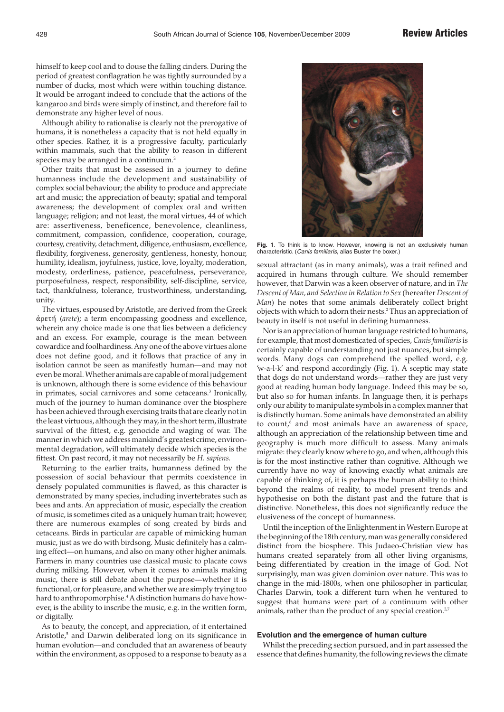himself to keep cool and to douse the falling cinders. During the period of greatest conflagration he was tightly surrounded by a number of ducks, most which were within touching distance. It would be arrogant indeed to conclude that the actions of the kangaroo and birds were simply of instinct, and therefore fail to demonstrate any higher level of nous.

Although ability to rationalise is clearly not the prerogative of humans, it is nonetheless a capacity that is not held equally in other species. Rather, it is a progressive faculty, particularly within mammals, such that the ability to reason in different species may be arranged in a continuum.<sup>2</sup>

Other traits that must be assessed in a journey to define humanness include the development and sustainability of complex social behaviour; the ability to produce and appreciate art and music; the appreciation of beauty; spatial and temporal awareness; the development of complex oral and written language; religion; and not least, the moral virtues, 44 of which are: assertiveness, beneficence, benevolence, cleanliness, commitment, compassion, confidence, cooperation, courage, courtesy, creativity, detachment, diligence, enthusiasm, excellence, flexibility, forgiveness, generosity, gentleness, honesty, honour, humility, idealism, joyfulness, justice, love, loyalty, moderation, modesty, orderliness, patience, peacefulness, perseverance, purposefulness, respect, responsibility, self-discipline, service, tact, thankfulness, tolerance, trustworthiness, understanding, unity.

The virtues, espoused by Aristotle, are derived from the Greek άρετή (arete); a term encompassing goodness and excellence, wherein any choice made is one that lies between a deficiency and an excess. For example, courage is the mean between cowardice and foolhardiness. Any one of the above virtues alone does not define good, and it follows that practice of any in isolation cannot be seen as manifestly human—and may not even be moral. Whether animals are capable of moral judgement is unknown, although there is some evidence of this behaviour in primates, social carnivores and some cetaceans.<sup>3</sup> Ironically, much of the journey to human dominance over the biosphere has been achieved through exercising traits that are clearly not in the least virtuous, although they may, in the short term, illustrate survival of the fittest, e.g. genocide and waging of war. The manner in which we address mankind's greatest crime, environmental degradation, will ultimately decide which species is the fittest. On past record, it may not necessarily be *H. sapiens.*

Returning to the earlier traits, humanness defined by the possession of social behaviour that permits coexistence in densely populated communities is flawed, as this character is demonstrated by many species, including invertebrates such as bees and ants. An appreciation of music, especially the creation of music, is sometimes cited as a uniquely human trait; however, there are numerous examples of song created by birds and cetaceans. Birds in particular are capable of mimicking human music, just as we do with birdsong. Music definitely has a calming effect—on humans, and also on many other higher animals. Farmers in many countries use classical music to placate cows during milking. However, when it comes to animals making music, there is still debate about the purpose—whether it is functional, or for pleasure, and whether we are simply trying too hard to anthropomorphise.<sup>4</sup> A distinction humans do have however, is the ability to inscribe the music, e.g. in the written form, or digitally.

As to beauty, the concept, and appreciation, of it entertained Aristotle,<sup>5</sup> and Darwin deliberated long on its significance in human evolution—and concluded that an awareness of beauty within the environment, as opposed to a response to beauty as a



Fig. 1. To think is to know. However, knowing is not an exclusively human characteristic. (Canis familiaris, alias Buster the boxer.)

sexual attractant (as in many animals), was a trait refined and acquired in humans through culture. We should remember however, that Darwin was a keen observer of nature, and in *The Descent of Man, and Selection in Relation to Sex* (hereafter *Descent of Man*) he notes that some animals deliberately collect bright objects with which to adorn their nests.2 Thus an appreciation of beauty in itself is not useful in defining humanness.

Nor is an appreciation of human language restricted to humans, for example, that most domesticated of species, *Canis familiaris*is certainly capable of understanding not just nuances, but simple words. Many dogs can comprehend the spelled word, e.g. 'w-a-l-k' and respond accordingly (Fig. 1). A sceptic may state that dogs do not understand words—rather they are just very good at reading human body language. Indeed this may be so, but also so for human infants. In language then, it is perhaps only our ability to manipulate symbols in a complex manner that is distinctly human. Some animals have demonstrated an ability to count, $6$  and most animals have an awareness of space, although an appreciation of the relationship between time and geography is much more difficult to assess. Many animals migrate: they clearly know where to go, and when, although this is for the most instinctive rather than cognitive. Although we currently have no way of knowing exactly what animals are capable of thinking of, it is perhaps the human ability to think beyond the realms of reality, to model present trends and hypothesise on both the distant past and the future that is distinctive. Nonetheless, this does not significantly reduce the elusiveness of the concept of humanness.

Until the inception of the Enlightenment in Western Europe at the beginning of the 18th century, man was generally considered distinct from the biosphere. This Judaeo-Christian view has humans created separately from all other living organisms, being differentiated by creation in the image of God. Not surprisingly, man was given dominion over nature. This was to change in the mid-1800s, when one philosopher in particular, Charles Darwin, took a different turn when he ventured to suggest that humans were part of a continuum with other animals, rather than the product of any special creation.<sup>2,7</sup>

## **Evolution and the emergence of human culture**

Whilst the preceding section pursued, and in part assessed the essence that defines humanity, the following reviews the climate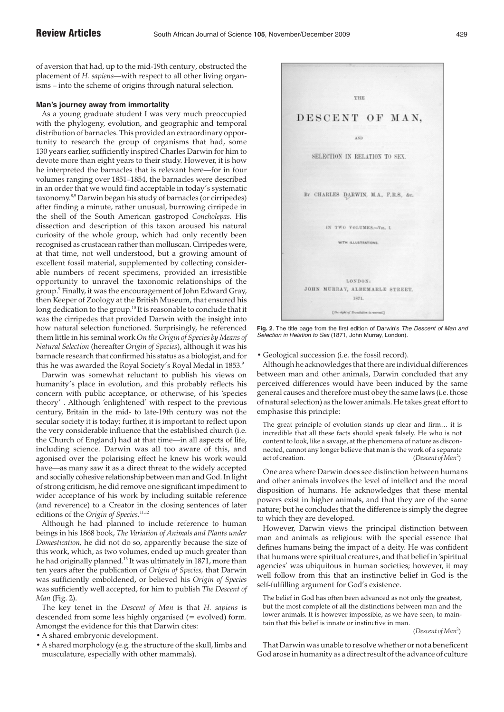of aversion that had, up to the mid-19th century, obstructed the placement of *H. sapiens*—with respect to all other living organisms – into the scheme of origins through natural selection.

## **Man's journey away from immortality**

As a young graduate student I was very much preoccupied with the phylogeny, evolution, and geographic and temporal distribution of barnacles. This provided an extraordinary opportunity to research the group of organisms that had, some 130 years earlier, sufficiently inspired Charles Darwin for him to devote more than eight years to their study. However, it is how he interpreted the barnacles that is relevant here—for in four volumes ranging over 1851–1854, the barnacles were described in an order that we would find acceptable in today's systematic taxonomy.8,9 Darwin began his study of barnacles (or cirripedes) after finding a minute, rather unusual, burrowing cirripede in the shell of the South American gastropod *Concholepas.* His dissection and description of this taxon aroused his natural curiosity of the whole group, which had only recently been recognised as crustacean rather than molluscan. Cirripedes were, at that time, not well understood, but a growing amount of excellent fossil material, supplemented by collecting considerable numbers of recent specimens, provided an irresistible opportunity to unravel the taxonomic relationships of the group.9 Finally, it was the encouragement of John Edward Gray, then Keeper of Zoology at the British Museum, that ensured his long dedication to the group.<sup>10</sup> It is reasonable to conclude that it was the cirripedes that provided Darwin with the insight into how natural selection functioned. Surprisingly, he referenced them little in his seminal work *On the Origin of Species by Means of Natural Selection* (hereafter *Origin of Species*), although it was his barnacle research that confirmed his status as a biologist, and for this he was awarded the Royal Society's Royal Medal in 1853.9

Darwin was somewhat reluctant to publish his views on humanity's place in evolution, and this probably reflects his concern with public acceptance, or otherwise, of his 'species theory' . Although 'enlightened' with respect to the previous century, Britain in the mid- to late-19th century was not the secular society it is today; further, it is important to reflect upon the very considerable influence that the established church (i.e. the Church of England) had at that time—in all aspects of life, including science. Darwin was all too aware of this, and agonised over the polarising effect he knew his work would have—as many saw it as a direct threat to the widely accepted and socially cohesive relationship between man and God. In light of strong criticism, he did remove one significant impediment to wider acceptance of his work by including suitable reference (and reverence) to a Creator in the closing sentences of later editions of the *Origin of Species.*11,12

Although he had planned to include reference to human beings in his 1868 book, *The Variation of Animals and Plants under Domestication,* he did not do so, apparently because the size of this work, which, as two volumes, ended up much greater than he had originally planned.<sup>13</sup> It was ultimately in 1871, more than ten years after the publication of *Origin of Species,* that Darwin was sufficiently emboldened, or believed his *Origin of Species* was sufficiently well accepted, for him to publish *The Descent of Man* (Fig. 2).

The key tenet in the *Descent of Man* is that *H. sapiens* is descended from some less highly organised (= evolved) form. Amongst the evidence for this that Darwin cites:

• A shared embryonic development.

• A shared morphology (e.g. the structure of the skull, limbs and musculature, especially with other mammals).

THE DESCENT OF MAN, AND SELECTION IN RELATION TO SEX BY CHARLES DARWIN, M.A., F.R.S., &c. IN TWO VOLUMES .- Vol. 1 WITH ILLUSTRATIONS LONDON: JOHN MURRAY, ALBEMARLE STREET. 1871. [The right of Translation is rea

**Fig. 2**. The title page from the first edition of Darwin's The Descent of Man and Selection in Relation to Sex (1871, John Murray, London).

## • Geological succession (i.e. the fossil record).

Although he acknowledges that there are individual differences between man and other animals, Darwin concluded that any perceived differences would have been induced by the same general causes and therefore must obey the same laws (i.e. those of natural selection) as the lower animals. He takes great effort to emphasise this principle:

The great principle of evolution stands up clear and firm… it is incredible that all these facts should speak falsely. He who is not content to look, like a savage, at the phenomena of nature as disconnected, cannot any longer believe that man is the work of a separate act of creation. (*Descent of Man*<sup>2</sup> )

One area where Darwin does see distinction between humans and other animals involves the level of intellect and the moral disposition of humans. He acknowledges that these mental powers exist in higher animals, and that they are of the same nature; but he concludes that the difference is simply the degree to which they are developed.

However, Darwin views the principal distinction between man and animals as religious: with the special essence that defines humans being the impact of a deity. He was confident that humans were spiritual creatures, and that belief in 'spiritual agencies' was ubiquitous in human societies; however, it may well follow from this that an instinctive belief in God is the self-fulfilling argument for God's existence.

The belief in God has often been advanced as not only the greatest, but the most complete of all the distinctions between man and the lower animals. It is however impossible, as we have seen, to maintain that this belief is innate or instinctive in man.

#### (*Descent of Man*<sup>2</sup> )

That Darwin was unable to resolve whether or not a beneficent God arose in humanity as a direct result of the advance of culture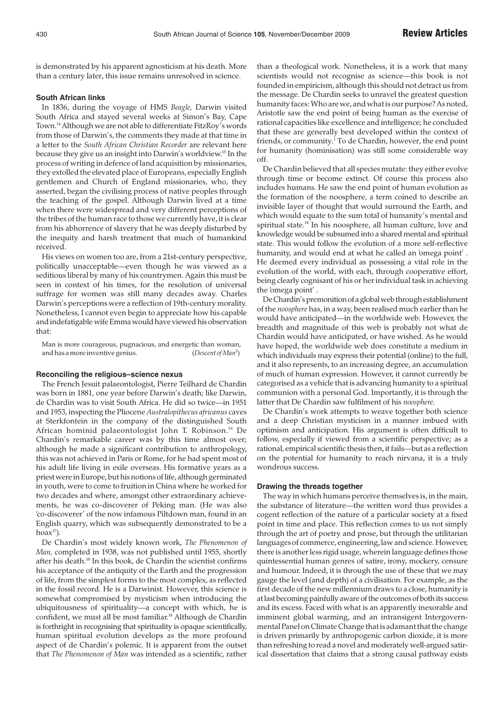is demonstrated by his apparent agnosticism at his death. More than a century later, this issue remains unresolved in science.

## **South African links**

In 1836, during the voyage of HMS *Beagle,* Darwin visited South Africa and stayed several weeks at Simon's Bay, Cape Town.14Although we are not able to differentiate FitzRoy's words from those of Darwin's, the comments they made at that time in a letter to the *South African Christian Recorder* are relevant here because they give us an insight into Darwin's worldview.15 In the process of writing in defence of land acquisition by missionaries, they extolled the elevated place of Europeans, especially English gentlemen and Church of England missionaries, who, they asserted, began the civilising process of native peoples through the teaching of the gospel. Although Darwin lived at a time when there were widespread and very different perceptions of the tribes of the human race to those we currently have, it is clear from his abhorrence of slavery that he was deeply disturbed by the inequity and harsh treatment that much of humankind received.

His views on women too are, from a 21st-century perspective, politically unacceptable—even though he was viewed as a seditious liberal by many of his countrymen. Again this must be seen in context of his times, for the resolution of universal suffrage for women was still many decades away. Charles Darwin's perceptions were a reflection of 19th-century morality. Nonetheless, I cannot even begin to appreciate how his capable and indefatigable wife Emma would have viewed his observation that:

Man is more courageous, pugnacious, and energetic than woman, and has a more inventive genius. (Descent of Man<sup>2</sup>)

## **Reconciling the religious–science nexus**

The French Jesuit palaeontologist, Pierre Teilhard de Chardin was born in 1881, one year before Darwin's death; like Darwin, de Chardin was to visit South Africa. He did so twice—in 1951 and 1953, inspecting the Pliocene *Australopithecus africanus* caves at Sterkfontein in the company of the distinguished South African hominid palaeontologist John T. Robinson.<sup>16</sup> De Chardin's remarkable career was by this time almost over; although he made a significant contribution to anthropology, this was not achieved in Paris or Rome, for he had spent most of his adult life living in exile overseas. His formative years as a priest were in Europe, but his notions of life, although germinated in youth, were to come to fruition in China where he worked for two decades and where, amongst other extraordinary achievements, he was co-discoverer of Peking man. (He was also 'co-discoverer' of the now infamous Piltdown man, found in an English quarry, which was subsequently demonstrated to be a hoa $x^{17}$ ).

De Chardin's most widely known work, *The Phenomenon of Man,* completed in 1938, was not published until 1955, shortly after his death.18 In this book, de Chardin the scientist confirms his acceptance of the antiquity of the Earth and the progression of life, from the simplest forms to the most complex, as reflected in the fossil record. He is a Darwinist. However, this science is somewhat compromised by mysticism when introducing the ubiquitousness of spirituality—a concept with which, he is confident, we must all be most familiar.<sup>18</sup> Although de Chardin is forthright in recognising that spirituality is opaque scientifically, human spiritual evolution develops as the more profound aspect of de Chardin's polemic. It is apparent from the outset that *The Phenomenon of Man* was intended as a scientific, rather than a theological work. Nonetheless, it is a work that many scientists would not recognise as science—this book is not founded in empiricism, although this should not detract us from the message. De Chardin seeks to unravel the greatest question humanity faces: Who are we, and what is our purpose? As noted, Aristotle saw the end point of being human as the exercise of rational capacities like excellence and intelligence; he concluded that these are generally best developed within the context of friends, or community.<sup>1</sup> To de Chardin, however, the end point for humanity (hominisation) was still some considerable way off.

De Chardin believed that all species mutate: they either evolve through time or become extinct. Of course this process also includes humans. He saw the end point of human evolution as the formation of the noosphere, a term coined to describe an invisible layer of thought that would surround the Earth, and which would equate to the sum total of humanity's mental and spiritual state.<sup>18</sup> In his noosphere, all human culture, love and knowledge would be subsumed into a shared mental and spiritual state. This would follow the evolution of a more self-reflective humanity, and would end at what he called an 'omega point' . He deemed every individual as possessing a vital role in the evolution of the world, with each, through cooperative effort, being clearly cognisant of his or her individual task in achieving the 'omega point' .

De Chardin's premonition of a global web through establishment of the *noosphere* has, in a way, been realised much earlier than he would have anticipated—in the worldwide web. However, the breadth and magnitude of this web is probably not what de Chardin would have anticipated, or have wished. As he would have hoped, the worldwide web does constitute a medium in which individuals may express their potential (online) to the full, and it also represents, to an increasing degree, an accumulation of much of human expression. However, it cannot currently be categorised as a vehicle that is advancing humanity to a spiritual communion with a personal God. Importantly, it is through the latter that De Chardin saw fulfilment of his *noosphere.*

De Chardin's work attempts to weave together both science and a deep Christian mysticism in a manner imbued with optimism and anticipation. His argument is often difficult to follow, especially if viewed from a scientific perspective; as a rational, empirical scientific thesis then, it fails—but as a reflection on the potential for humanity to reach nirvana, it is a truly wondrous success.

#### **Drawing the threads together**

The way in which humans perceive themselves is, in the main, the substance of literature—the written word thus provides a cogent reflection of the nature of a particular society at a fixed point in time and place. This reflection comes to us not simply through the art of poetry and prose, but through the utilitarian languages of commerce, engineering, law and science. However, there is another less rigid usage, wherein language defines those quintessential human genres of satire, irony, mockery, censure and humour. Indeed, it is through the use of these that we may gauge the level (and depth) of a civilisation. For example, as the first decade of the new millennium draws to a close, humanity is at last becoming painfully aware of the outcomes of both its success and its excess. Faced with what is an apparently inexorable and imminent global warming, and an intransigent Intergovernmental Panel on Climate Change that is adamant that the change is driven primarily by anthropogenic carbon dioxide, it is more than refreshing to read a novel and moderately well-argued satirical dissertation that claims that a strong causal pathway exists